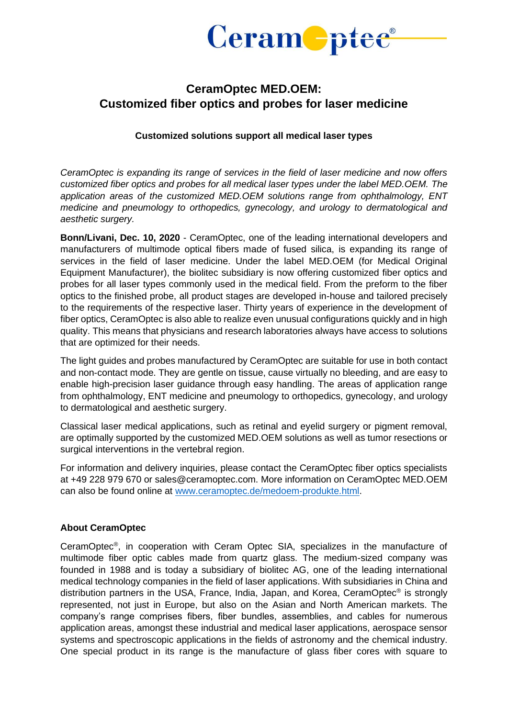

## **CeramOptec MED.OEM: Customized fiber optics and probes for laser medicine**

## **Customized solutions support all medical laser types**

*CeramOptec is expanding its range of services in the field of laser medicine and now offers customized fiber optics and probes for all medical laser types under the label MED.OEM. The application areas of the customized MED.OEM solutions range from ophthalmology, ENT medicine and pneumology to orthopedics, gynecology, and urology to dermatological and aesthetic surgery.*

**Bonn/Livani, Dec. 10, 2020** - CeramOptec, one of the leading international developers and manufacturers of multimode optical fibers made of fused silica, is expanding its range of services in the field of laser medicine. Under the label MED.OEM (for Medical Original Equipment Manufacturer), the biolitec subsidiary is now offering customized fiber optics and probes for all laser types commonly used in the medical field. From the preform to the fiber optics to the finished probe, all product stages are developed in-house and tailored precisely to the requirements of the respective laser. Thirty years of experience in the development of fiber optics, CeramOptec is also able to realize even unusual configurations quickly and in high quality. This means that physicians and research laboratories always have access to solutions that are optimized for their needs.

The light guides and probes manufactured by CeramOptec are suitable for use in both contact and non-contact mode. They are gentle on tissue, cause virtually no bleeding, and are easy to enable high-precision laser guidance through easy handling. The areas of application range from ophthalmology, ENT medicine and pneumology to orthopedics, gynecology, and urology to dermatological and aesthetic surgery.

Classical laser medical applications, such as retinal and eyelid surgery or pigment removal, are optimally supported by the customized MED.OEM solutions as well as tumor resections or surgical interventions in the vertebral region.

For information and delivery inquiries, please contact the CeramOptec fiber optics specialists at +49 228 979 670 or sales@ceramoptec.com. More information on CeramOptec MED.OEM can also be found online at [www.ceramoptec.de/medoem-produkte.html.](http://www.ceramoptec.de/medoem-produkte.html)

## **About CeramOptec**

CeramOptec® , in cooperation with Ceram Optec SIA, specializes in the manufacture of multimode fiber optic cables made from quartz glass. The medium-sized company was founded in 1988 and is today a subsidiary of biolitec AG, one of the leading international medical technology companies in the field of laser applications. With subsidiaries in China and distribution partners in the USA, France, India, Japan, and Korea, CeramOptec® is strongly represented, not just in Europe, but also on the Asian and North American markets. The company's range comprises fibers, fiber bundles, assemblies, and cables for numerous application areas, amongst these industrial and medical laser applications, aerospace sensor systems and spectroscopic applications in the fields of astronomy and the chemical industry. One special product in its range is the manufacture of glass fiber cores with square to